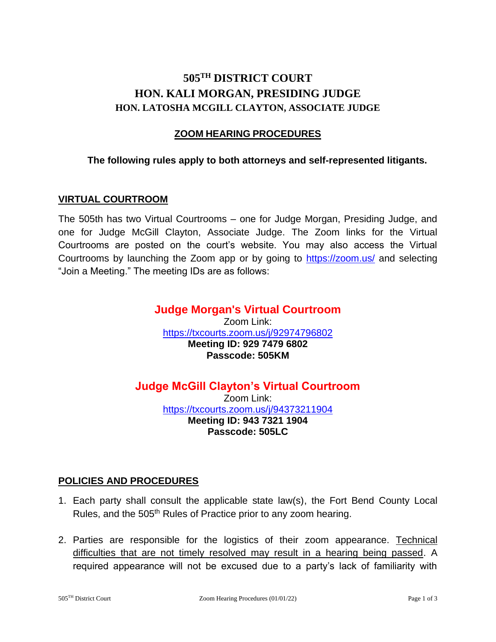# **505TH DISTRICT COURT HON. KALI MORGAN, PRESIDING JUDGE HON. LATOSHA MCGILL CLAYTON, ASSOCIATE JUDGE**

# **ZOOM HEARING PROCEDURES**

## **The following rules apply to both attorneys and self-represented litigants.**

#### **VIRTUAL COURTROOM**

The 505th has two Virtual Courtrooms – one for Judge Morgan, Presiding Judge, and one for Judge McGill Clayton, Associate Judge. The Zoom links for the Virtual Courtrooms are posted on the court's website. You may also access the Virtual Courtrooms by launching the Zoom app or by going to<https://zoom.us/> and selecting "Join a Meeting." The meeting IDs are as follows:

## **Judge Morgan's Virtual Courtroom** Zoom Link: <https://txcourts.zoom.us/j/92974796802> **Meeting ID: 929 7479 6802 Passcode: 505KM**

# **Judge McGill Clayton's Virtual Courtroom**

Zoom Link: <https://txcourts.zoom.us/j/94373211904> **Meeting ID: 943 7321 1904 Passcode: 505LC**

#### **POLICIES AND PROCEDURES**

- 1. Each party shall consult the applicable state law(s), the Fort Bend County Local Rules, and the 505<sup>th</sup> Rules of Practice prior to any zoom hearing.
- 2. Parties are responsible for the logistics of their zoom appearance. Technical difficulties that are not timely resolved may result in a hearing being passed. A required appearance will not be excused due to a party's lack of familiarity with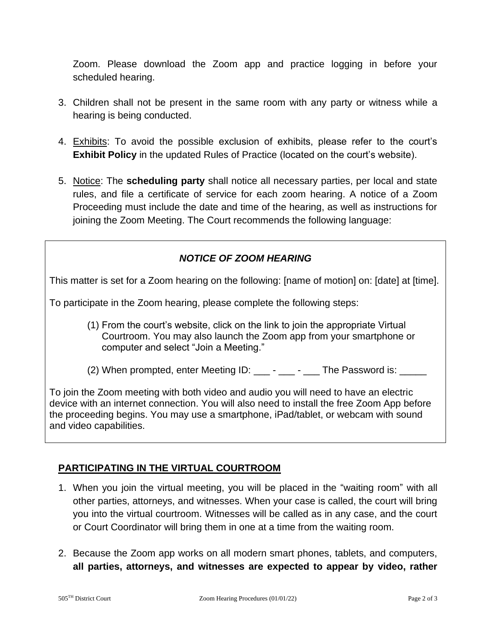Zoom. Please download the Zoom app and practice logging in before your scheduled hearing.

- 3. Children shall not be present in the same room with any party or witness while a hearing is being conducted.
- 4. Exhibits: To avoid the possible exclusion of exhibits, please refer to the court's **Exhibit Policy** in the updated Rules of Practice (located on the court's website).
- 5. Notice: The **scheduling party** shall notice all necessary parties, per local and state rules, and file a certificate of service for each zoom hearing. A notice of a Zoom Proceeding must include the date and time of the hearing, as well as instructions for joining the Zoom Meeting. The Court recommends the following language:

# *NOTICE OF ZOOM HEARING*

This matter is set for a Zoom hearing on the following: [name of motion] on: [date] at [time].

To participate in the Zoom hearing, please complete the following steps:

- (1) From the court's website, click on the link to join the appropriate Virtual Courtroom. You may also launch the Zoom app from your smartphone or computer and select "Join a Meeting."
- (2) When prompted, enter Meeting ID:  $\frac{1}{2}$   $\frac{1}{2}$   $\frac{1}{2}$  The Password is:  $\frac{1}{2}$

To join the Zoom meeting with both video and audio you will need to have an electric device with an internet connection. You will also need to install the free Zoom App before the proceeding begins. You may use a smartphone, iPad/tablet, or webcam with sound and video capabilities.

## **PARTICIPATING IN THE VIRTUAL COURTROOM**

- 1. When you join the virtual meeting, you will be placed in the "waiting room" with all other parties, attorneys, and witnesses. When your case is called, the court will bring you into the virtual courtroom. Witnesses will be called as in any case, and the court or Court Coordinator will bring them in one at a time from the waiting room.
- 2. Because the Zoom app works on all modern smart phones, tablets, and computers, **all parties, attorneys, and witnesses are expected to appear by video, rather**